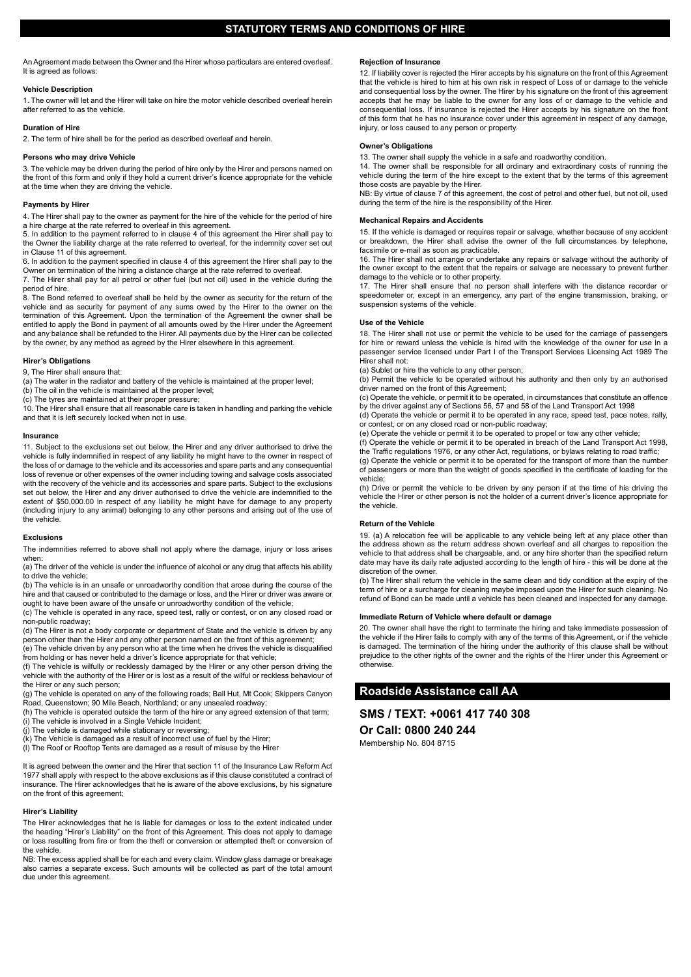An Agreement made between the Owner and the Hirer whose particulars are entered overleaf. It is agreed as follows:

## **Vehicle Description**

1. The owner will let and the Hirer will take on hire the motor vehicle described overleaf herein after referred to as the vehicle.

### **Duration of Hire**

2. The term of hire shall be for the period as described overleaf and herein.

## **Persons who may drive Vehicle**

3. The vehicle may be driven during the period of hire only by the Hirer and persons named on the front of this form and only if they hold a current driver's licence appropriate for the vehicle at the time when they are driving the vehicle.

#### **Payments by Hirer**

4. The Hirer shall pay to the owner as payment for the hire of the vehicle for the period of hire a hire charge at the rate referred to overleaf in this agreement.

5. In addition to the payment referred to in clause 4 of this agreement the Hirer shall pay to the Owner the liability charge at the rate referred to overleaf, for the indemnity cover set out in Clause 11 of this agreement.

6. In addition to the payment specified in clause 4 of this agreement the Hirer shall pay to the Owner on termination of the hiring a distance charge at the rate referred to overleaf.

7. The Hirer shall pay for all petrol or other fuel (but not oil) used in the vehicle during the period of hire.

8. The Bond referred to overleaf shall be held by the owner as security for the return of the vehicle and as security for payment of any sums owed by the Hirer to the owner on the termination of this Agreement. Upon the termination of the Agreement the owner shall be entitled to apply the Bond in payment of all amounts owed by the Hirer under the Agreement and any balance shall be refunded to the Hirer. All payments due by the Hirer can be collected by the owner, by any method as agreed by the Hirer elsewhere in this agreement.

# **Hirer's Obligations**

9, The Hirer shall ensure that:

(a) The water in the radiator and battery of the vehicle is maintained at the proper level;

(b) The oil in the vehicle is maintained at the proper level;

(c) The tyres are maintained at their proper pressure;

10. The Hirer shall ensure that all reasonable care is taken in handling and parking the vehicle and that it is left securely locked when not in use.

## **Insurance**

11. Subject to the exclusions set out below, the Hirer and any driver authorised to drive the vehicle is fully indemnified in respect of any liability he might have to the owner in respect of the loss of or damage to the vehicle and its accessories and spare parts and any consequential loss of revenue or other expenses of the owner including towing and salvage costs associated with the recovery of the vehicle and its accessories and spare parts. Subject to the exclusions set out below, the Hirer and any driver authorised to drive the vehicle are indemnified to the extent of \$50,000.00 in respect of any liability he might have for damage to any property (including injury to any animal) belonging to any other persons and arising out of the use of the vehicle.

# **Exclusions**

The indemnities referred to above shall not apply where the damage, injury or loss arises when:

(a) The driver of the vehicle is under the influence of alcohol or any drug that affects his ability to drive the vehicle;

(b) The vehicle is in an unsafe or unroadworthy condition that arose during the course of the hire and that caused or contributed to the damage or loss, and the Hirer or driver was aware or ought to have been aware of the unsafe or unroadworthy condition of the vehicle;

(c) The vehicle is operated in any race, speed test, rally or contest, or on any closed road or non-public roadway;

(d) The Hirer is not a body corporate or department of State and the vehicle is driven by any person other than the Hirer and any other person named on the front of this agreement; (e) The vehicle driven by any person who at the time when he drives the vehicle is disqualified

from holding or has never held a driver's licence appropriate for that vehicle;

(f) The vehicle is wilfully or recklessly damaged by the Hirer or any other person driving the vehicle with the authority of the Hirer or is lost as a result of the wilful or reckless behaviour of the Hirer or any such person;

(g) The vehicle is operated on any of the following roads; Ball Hut, Mt Cook; Skippers Canyon Road, Queenstown; 90 Mile Beach, Northland; or any unsealed roadway;

(h) The vehicle is operated outside the term of the hire or any agreed extension of that term; (i) The vehicle is involved in a Single Vehicle Incident;

(i) The vehicle is damaged while stationary or reversing;

(k) The Vehicle is damaged as a result of incorrect use of fuel by the Hirer;

(l) The Roof or Rooftop Tents are damaged as a result of misuse by the Hirer

It is agreed between the owner and the Hirer that section 11 of the Insurance Law Reform Act 1977 shall apply with respect to the above exclusions as if this clause constituted a contract of insurance. The Hirer acknowledges that he is aware of the above exclusions, by his signature on the front of this agreement;

### **Hirer's Liability**

The Hirer acknowledges that he is liable for damages or loss to the extent indicated under the heading "Hirer's Liability" on the front of this Agreement. This does not apply to damage or loss resulting from fire or from the theft or conversion or attempted theft or conversion of the vehicle.

NB: The excess applied shall be for each and every claim. Window glass damage or breakage also carries a separate excess. Such amounts will be collected as part of the total amount due under this agreement.

## **Rejection of Insurance**

12. If liability cover is rejected the Hirer accepts by his signature on the front of this Agreement that the vehicle is hired to him at his own risk in respect of Loss of or damage to the vehicle and consequential loss by the owner. The Hirer by his signature on the front of this agreement accepts that he may be liable to the owner for any loss of or damage to the vehicle and consequential loss. If insurance is rejected the Hirer accepts by his signature on the front of this form that he has no insurance cover under this agreement in respect of any damage, injury, or loss caused to any person or property.

# **Owner's Obligations**

13. The owner shall supply the vehicle in a safe and roadworthy condition.

14. The owner shall be responsible for all ordinary and extraordinary costs of running the vehicle during the term of the hire except to the extent that by the terms of this agreement

those costs are payable by the Hirer. NB: By virtue of clause 7 of this agreement, the cost of petrol and other fuel, but not oil, used during the term of the hire is the responsibility of the Hirer.

# **Mechanical Repairs and Accidents**

15. If the vehicle is damaged or requires repair or salvage, whether because of any accident or breakdown, the Hirer shall advise the owner of the full circumstances by telephone, facsimile or e-mail as soon as practicable.

16. The Hirer shall not arrange or undertake any repairs or salvage without the authority of the owner except to the extent that the repairs or salvage are necessary to prevent further damage to the vehicle or to other property.

17. The Hirer shall ensure that no person shall interfere with the distance recorder or speedometer or, except in an emergency, any part of the engine transmission, braking, or suspension systems of the vehicle.

# **Use of the Vehicle**

18. The Hirer shall not use or permit the vehicle to be used for the carriage of passengers for hire or reward unless the vehicle is hired with the knowledge of the owner for use in a passenger service licensed under Part I of the Transport Services Licensing Act 1989 The Hirer shall not:

(a) Sublet or hire the vehicle to any other person;

(b) Permit the vehicle to be operated without his authority and then only by an authorised driver named on the front of this Agreement;

(c) Operate the vehicle, or permit it to be operated, in circumstances that constitute an offence by the driver against any of Sections 56, 57 and 58 of the Land Transport Act 1998 (d) Operate the vehicle or permit it to be operated in any race, speed test, pace notes, rally,

- or contest, or on any closed road or non-public roadway;
- (e) Operate the vehicle or permit it to be operated to propel or tow any other vehicle;
- (f) Operate the vehicle or permit it to be operated in breach of the Land Transport Act 1998, the Traffic regulations 1976, or any other Act, regulations, or bylaws relating to road traffic;

(g) Operate the vehicle or permit it to be operated for the transport of more than the number of passengers or more than the weight of goods specified in the certificate of loading for the vehicle;

(h) Drive or permit the vehicle to be driven by any person if at the time of his driving the vehicle the Hirer or other person is not the holder of a current driver's licence appropriate for the vehicle.

## **Return of the Vehicle**

19. (a) A relocation fee will be applicable to any vehicle being left at any place other than the address shown as the return address shown overleaf and all charges to reposition the vehicle to that address shall be chargeable, and, or any hire shorter than the specified return date may have its daily rate adjusted according to the length of hire - this will be done at the discretion of the owner.

(b) The Hirer shall return the vehicle in the same clean and tidy condition at the expiry of the term of hire or a surcharge for cleaning maybe imposed upon the Hirer for such cleaning. No refund of Bond can be made until a vehicle has been cleaned and inspected for any damage.

## **Immediate Return of Vehicle where default or damage**

20. The owner shall have the right to terminate the hiring and take immediate possession of the vehicle if the Hirer fails to comply with any of the terms of this Agreement, or if the vehicle is damaged. The termination of the hiring under the authority of this clause shall be without prejudice to the other rights of the owner and the rights of the Hirer under this Agreement or otherwise.

# **Roadside Assistance call AA**

# **SMS / TEXT: +0061 417 740 308**

**Or Call: 0800 240 244** 

Membership No. 804 8715